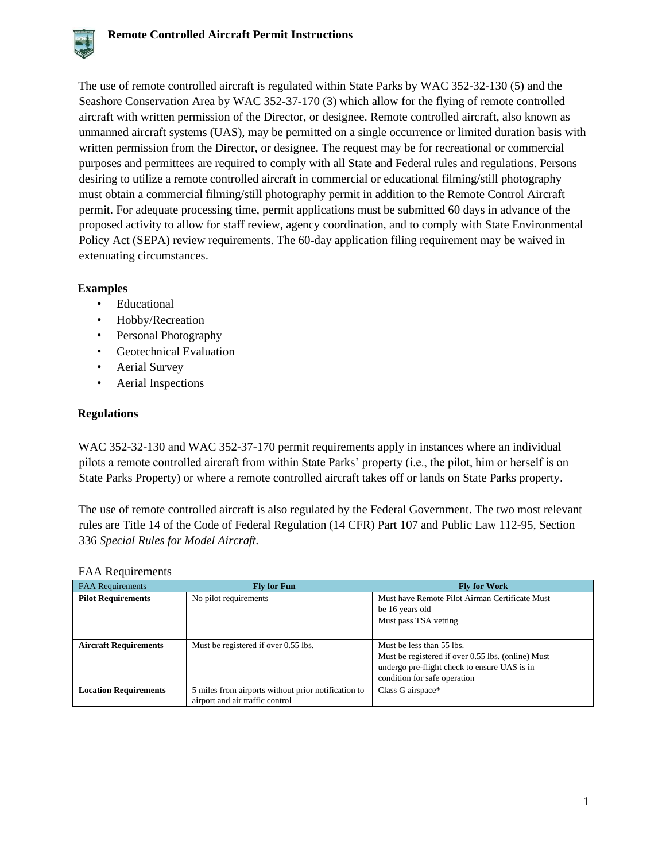

The use of remote controlled aircraft is regulated within State Parks by WAC 352-32-130 (5) and the Seashore Conservation Area by WAC 352-37-170 (3) which allow for the flying of remote controlled aircraft with written permission of the Director, or designee. Remote controlled aircraft, also known as unmanned aircraft systems (UAS), may be permitted on a single occurrence or limited duration basis with written permission from the Director, or designee. The request may be for recreational or commercial purposes and permittees are required to comply with all State and Federal rules and regulations. Persons desiring to utilize a remote controlled aircraft in commercial or educational filming/still photography must obtain a commercial filming/still photography permit in addition to the Remote Control Aircraft permit. For adequate processing time, permit applications must be submitted 60 days in advance of the proposed activity to allow for staff review, agency coordination, and to comply with State Environmental Policy Act (SEPA) review requirements. The 60-day application filing requirement may be waived in extenuating circumstances.

# **Examples**

- Educational
- Hobby/Recreation
- Personal Photography
- Geotechnical Evaluation
- Aerial Survey
- Aerial Inspections

### **Regulations**

WAC 352-32-130 and WAC 352-37-170 permit requirements apply in instances where an individual pilots a remote controlled aircraft from within State Parks' property (i.e., the pilot, him or herself is on State Parks Property) or where a remote controlled aircraft takes off or lands on State Parks property.

The use of remote controlled aircraft is also regulated by the Federal Government. The two most relevant rules are Title 14 of the Code of Federal Regulation (14 CFR) Part 107 and Public Law 112-95, Section 336 *Special Rules for Model Aircraft.* 

#### FAA Requirements

| <b>FAA Requirements</b>                                              | <b>Fly for Fun</b>                                  | <b>Fly for Work</b>                                |  |
|----------------------------------------------------------------------|-----------------------------------------------------|----------------------------------------------------|--|
| <b>Pilot Requirements</b>                                            | No pilot requirements                               | Must have Remote Pilot Airman Certificate Must     |  |
|                                                                      |                                                     | be 16 years old                                    |  |
|                                                                      |                                                     | Must pass TSA vetting                              |  |
|                                                                      |                                                     |                                                    |  |
| <b>Aircraft Requirements</b><br>Must be registered if over 0.55 lbs. |                                                     | Must be less than 55 lbs.                          |  |
|                                                                      |                                                     | Must be registered if over 0.55 lbs. (online) Must |  |
|                                                                      |                                                     | undergo pre-flight check to ensure UAS is in       |  |
|                                                                      |                                                     | condition for safe operation                       |  |
| <b>Location Requirements</b>                                         | 5 miles from airports without prior notification to | Class G airspace*                                  |  |
|                                                                      | airport and air traffic control                     |                                                    |  |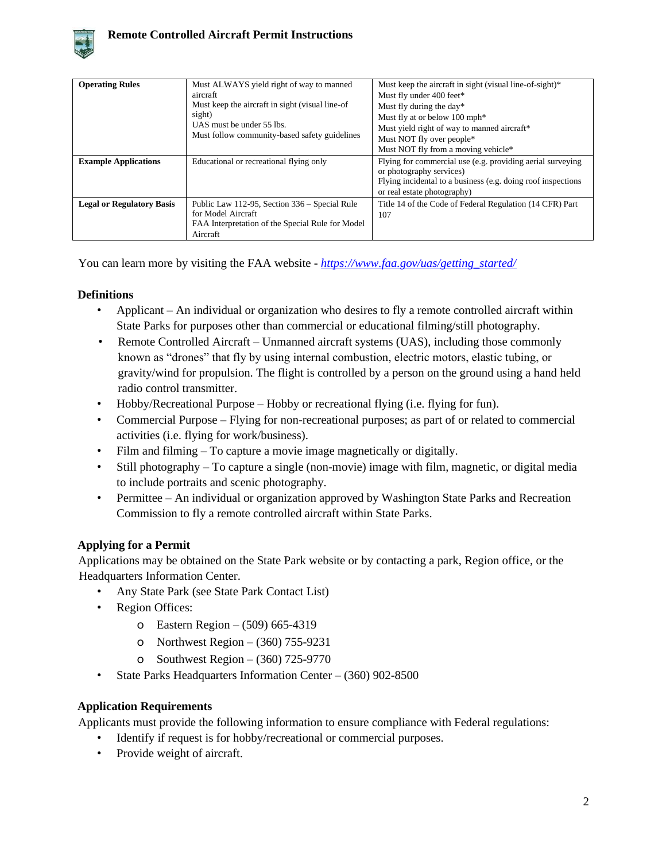

| <b>Operating Rules</b>           | Must ALWAYS yield right of way to manned<br>aircraft<br>Must keep the aircraft in sight (visual line-of<br>sight)<br>UAS must be under 55 lbs.<br>Must follow community-based safety guidelines | Must keep the aircraft in sight (visual line-of-sight)*<br>Must fly under 400 feet*<br>Must fly during the day*<br>Must fly at or below 100 mph*<br>Must yield right of way to manned aircraft*<br>Must NOT fly over people*<br>Must NOT fly from a moving vehicle* |
|----------------------------------|-------------------------------------------------------------------------------------------------------------------------------------------------------------------------------------------------|---------------------------------------------------------------------------------------------------------------------------------------------------------------------------------------------------------------------------------------------------------------------|
| <b>Example Applications</b>      | Educational or recreational flying only                                                                                                                                                         | Flying for commercial use (e.g. providing aerial surveying<br>or photography services)<br>Flying incidental to a business (e.g. doing roof inspections)<br>or real estate photography)                                                                              |
| <b>Legal or Regulatory Basis</b> | Public Law 112-95, Section 336 – Special Rule<br>for Model Aircraft<br>FAA Interpretation of the Special Rule for Model<br>Aircraft                                                             | Title 14 of the Code of Federal Regulation (14 CFR) Part<br>107                                                                                                                                                                                                     |

You can learn more by visiting the FAA website [-](https://www.faa.gov/uas/getting_started/) *[https://www.faa.gov/uas/getting\\_started/](https://www.faa.gov/uas/getting_started/)* 

# **Definitions**

- Applicant An individual or organization who desires to fly a remote controlled aircraft within State Parks for purposes other than commercial or educational filming/still photography.
- Remote Controlled Aircraft Unmanned aircraft systems (UAS), including those commonly known as "drones" that fly by using internal combustion, electric motors, elastic tubing, or gravity/wind for propulsion. The flight is controlled by a person on the ground using a hand held radio control transmitter.
- Hobby/Recreational Purpose Hobby or recreational flying (i.e. flying for fun).
- Commercial Purpose **–** Flying for non-recreational purposes; as part of or related to commercial activities (i.e. flying for work/business).
- Film and filming To capture a movie image magnetically or digitally.
- Still photography To capture a single (non-movie) image with film, magnetic, or digital media to include portraits and scenic photography.
- Permittee An individual or organization approved by Washington State Parks and Recreation Commission to fly a remote controlled aircraft within State Parks.

# **Applying for a Permit**

Applications may be obtained on the State Park website or by contacting a park, Region office, or the Headquarters Information Center.

- Any State Park (see State Park Contact List)
- Region Offices:
	- o Eastern Region (509) 665-4319
	- o Northwest Region (360) 755-9231
	- o Southwest Region (360) 725-9770
- State Parks Headquarters Information Center (360) 902-8500

### **Application Requirements**

Applicants must provide the following information to ensure compliance with Federal regulations:

- Identify if request is for hobby/recreational or commercial purposes.
- Provide weight of aircraft.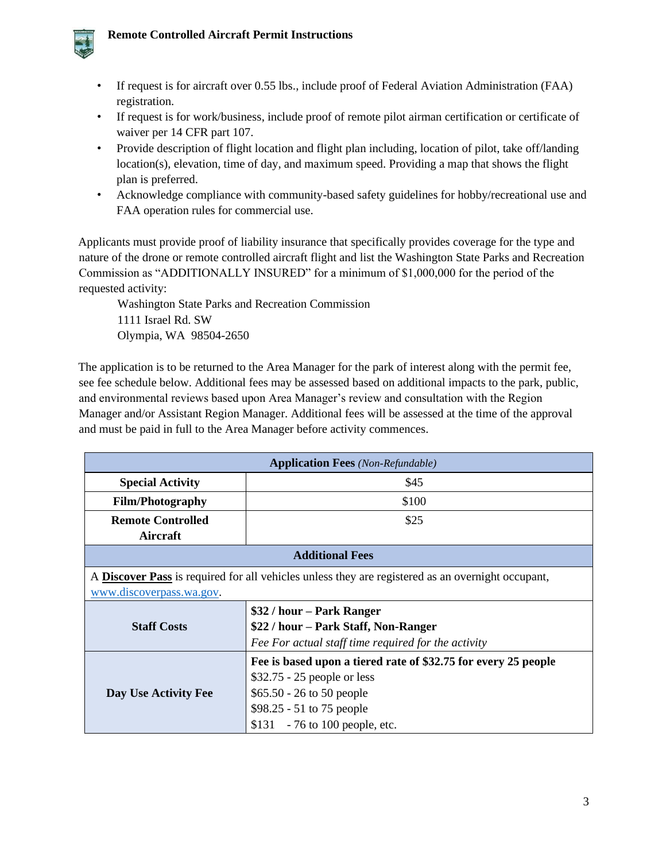# **Remote Controlled Aircraft Permit Instructions**



- If request is for aircraft over 0.55 lbs., include proof of Federal Aviation Administration (FAA) registration.
- If request is for work/business, include proof of remote pilot airman certification or certificate of waiver per 14 CFR part 107.
- Provide description of flight location and flight plan including, location of pilot, take off/landing location(s), elevation, time of day, and maximum speed. Providing a map that shows the flight plan is preferred.
- Acknowledge compliance with community-based safety guidelines for hobby/recreational use and FAA operation rules for commercial use.

Applicants must provide proof of liability insurance that specifically provides coverage for the type and nature of the drone or remote controlled aircraft flight and list the Washington State Parks and Recreation Commission as "ADDITIONALLY INSURED" for a minimum of \$1,000,000 for the period of the requested activity:

Washington State Parks and Recreation Commission 1111 Israel Rd. SW Olympia, WA 98504-2650

The application is to be returned to the Area Manager for the park of interest along with the permit fee, see fee schedule below. Additional fees may be assessed based on additional impacts to the park, public, and environmental reviews based upon Area Manager's review and consultation with the Region Manager and/or Assistant Region Manager. Additional fees will be assessed at the time of the approval and must be paid in full to the Area Manager before activity commences.

| <b>Application Fees</b> (Non-Refundable)                                                                                             |                                                                                                                                                                                                 |  |  |  |  |
|--------------------------------------------------------------------------------------------------------------------------------------|-------------------------------------------------------------------------------------------------------------------------------------------------------------------------------------------------|--|--|--|--|
| <b>Special Activity</b>                                                                                                              | \$45                                                                                                                                                                                            |  |  |  |  |
| <b>Film/Photography</b>                                                                                                              | \$100                                                                                                                                                                                           |  |  |  |  |
| <b>Remote Controlled</b><br>Aircraft                                                                                                 | \$25                                                                                                                                                                                            |  |  |  |  |
| <b>Additional Fees</b>                                                                                                               |                                                                                                                                                                                                 |  |  |  |  |
| A <b>Discover Pass</b> is required for all vehicles unless they are registered as an overnight occupant,<br>www.discoverpass.wa.gov. |                                                                                                                                                                                                 |  |  |  |  |
| <b>Staff Costs</b>                                                                                                                   | \$32 / hour – Park Ranger<br>\$22 / hour – Park Staff, Non-Ranger<br>Fee For actual staff time required for the activity                                                                        |  |  |  |  |
| Day Use Activity Fee                                                                                                                 | Fee is based upon a tiered rate of \$32.75 for every 25 people<br>$$32.75 - 25$ people or less<br>$$65.50 - 26$ to 50 people<br>\$98.25 - 51 to 75 people<br>$-76$ to 100 people, etc.<br>\$131 |  |  |  |  |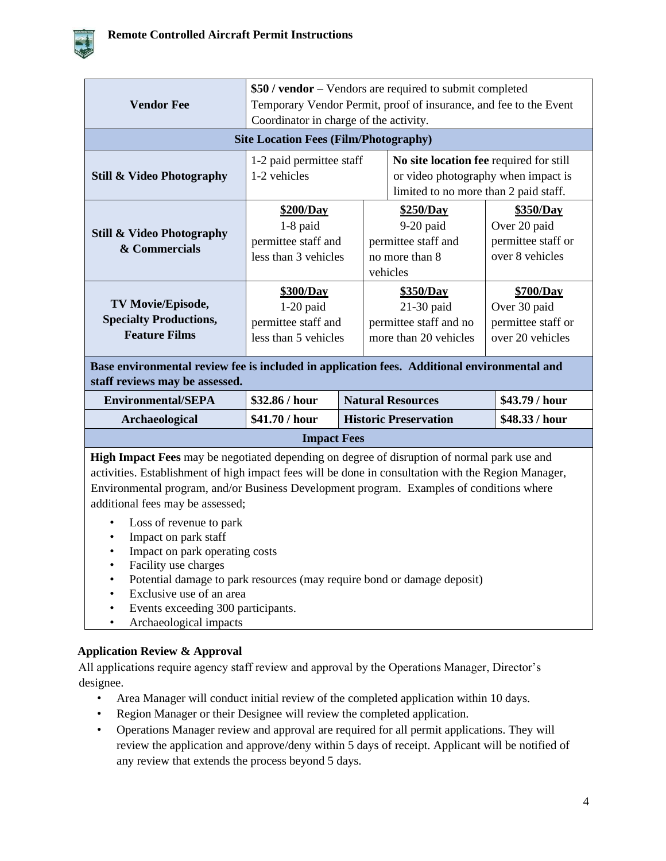

| \$50 / vendor – Vendors are required to submit completed<br><b>Vendor Fee</b><br>Temporary Vendor Permit, proof of insurance, and fee to the Event<br>Coordinator in charge of the activity.                                                                                                                                                                                                                                                                                                                                                                                                                                                                                            |                                                                         |                              |                                                                             |                                                                                                                         |                                                                     |  |  |
|-----------------------------------------------------------------------------------------------------------------------------------------------------------------------------------------------------------------------------------------------------------------------------------------------------------------------------------------------------------------------------------------------------------------------------------------------------------------------------------------------------------------------------------------------------------------------------------------------------------------------------------------------------------------------------------------|-------------------------------------------------------------------------|------------------------------|-----------------------------------------------------------------------------|-------------------------------------------------------------------------------------------------------------------------|---------------------------------------------------------------------|--|--|
| <b>Site Location Fees (Film/Photography)</b>                                                                                                                                                                                                                                                                                                                                                                                                                                                                                                                                                                                                                                            |                                                                         |                              |                                                                             |                                                                                                                         |                                                                     |  |  |
| <b>Still &amp; Video Photography</b>                                                                                                                                                                                                                                                                                                                                                                                                                                                                                                                                                                                                                                                    | 1-2 paid permittee staff<br>1-2 vehicles                                |                              |                                                                             | No site location fee required for still<br>or video photography when impact is<br>limited to no more than 2 paid staff. |                                                                     |  |  |
| <b>Still &amp; Video Photography</b><br>& Commercials                                                                                                                                                                                                                                                                                                                                                                                                                                                                                                                                                                                                                                   | \$200/Day<br>1-8 paid<br>permittee staff and<br>less than 3 vehicles    |                              | \$250/Day<br>9-20 paid<br>permittee staff and<br>no more than 8<br>vehicles |                                                                                                                         | \$350/Day<br>Over 20 paid<br>permittee staff or<br>over 8 vehicles  |  |  |
| TV Movie/Episode,<br><b>Specialty Productions,</b><br><b>Feature Films</b>                                                                                                                                                                                                                                                                                                                                                                                                                                                                                                                                                                                                              | \$300/Day<br>$1-20$ paid<br>permittee staff and<br>less than 5 vehicles |                              | \$350/Day<br>21-30 paid<br>permittee staff and no<br>more than 20 vehicles  |                                                                                                                         | \$700/Day<br>Over 30 paid<br>permittee staff or<br>over 20 vehicles |  |  |
| Base environmental review fee is included in application fees. Additional environmental and<br>staff reviews may be assessed.                                                                                                                                                                                                                                                                                                                                                                                                                                                                                                                                                           |                                                                         |                              |                                                                             |                                                                                                                         |                                                                     |  |  |
| <b>Environmental/SEPA</b>                                                                                                                                                                                                                                                                                                                                                                                                                                                                                                                                                                                                                                                               | \$32.86 / hour<br><b>Natural Resources</b>                              |                              | \$43.79 / hour                                                              |                                                                                                                         |                                                                     |  |  |
| Archaeological                                                                                                                                                                                                                                                                                                                                                                                                                                                                                                                                                                                                                                                                          | \$41.70 / hour                                                          | <b>Historic Preservation</b> |                                                                             |                                                                                                                         | \$48.33 / hour                                                      |  |  |
| <b>Impact Fees</b>                                                                                                                                                                                                                                                                                                                                                                                                                                                                                                                                                                                                                                                                      |                                                                         |                              |                                                                             |                                                                                                                         |                                                                     |  |  |
| High Impact Fees may be negotiated depending on degree of disruption of normal park use and<br>activities. Establishment of high impact fees will be done in consultation with the Region Manager,<br>Environmental program, and/or Business Development program. Examples of conditions where<br>additional fees may be assessed;<br>Loss of revenue to park<br>$\bullet$<br>Impact on park staff<br>$\bullet$<br>Impact on park operating costs<br>$\bullet$<br>Facility use charges<br>$\bullet$<br>Potential damage to park resources (may require bond or damage deposit)<br>$\bullet$<br>Exclusive use of an area<br>$\bullet$<br>Events exceeding 300 participants.<br>$\bullet$ |                                                                         |                              |                                                                             |                                                                                                                         |                                                                     |  |  |

• Archaeological impacts

# **Application Review & Approval**

All applications require agency staff review and approval by the Operations Manager, Director's designee.

- Area Manager will conduct initial review of the completed application within 10 days.
- Region Manager or their Designee will review the completed application.
- Operations Manager review and approval are required for all permit applications. They will review the application and approve/deny within 5 days of receipt. Applicant will be notified of any review that extends the process beyond 5 days.